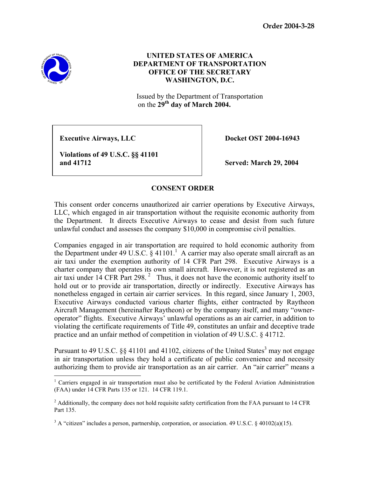**Order 2004-3-28** 



 $\overline{a}$ 

## **UNITED STATES OF AMERICA DEPARTMENT OF TRANSPORTATION OFFICE OF THE SECRETARY WASHINGTON, D.C.**

Issued by the Department of Transportation on the **29th day of March 2004.**

**Executive Airways, LLC** Docket OST 2004-16943

 **Violations of 49 U.S.C. §§ 41101 and 41712 Served: March 29, 2004** 

## **CONSENT ORDER**

This consent order concerns unauthorized air carrier operations by Executive Airways, LLC, which engaged in air transportation without the requisite economic authority from the Department. It directs Executive Airways to cease and desist from such future unlawful conduct and assesses the company \$10,000 in compromise civil penalties.

Companies engaged in air transportation are required to hold economic authority from the Department under 49 U.S.C.  $\S$  41101.<sup>1</sup> A carrier may also operate small aircraft as an air taxi under the exemption authority of 14 CFR Part 298. Executive Airways is a charter company that operates its own small aircraft. However, it is not registered as an air taxi under  $14$  CFR Part 298.<sup>2</sup> Thus, it does not have the economic authority itself to hold out or to provide air transportation, directly or indirectly. Executive Airways has nonetheless engaged in certain air carrier services. In this regard, since January 1, 2003, Executive Airways conducted various charter flights, either contracted by Raytheon Aircraft Management (hereinafter Raytheon) or by the company itself, and many "owneroperator" flights. Executive Airways' unlawful operations as an air carrier, in addition to violating the certificate requirements of Title 49, constitutes an unfair and deceptive trade practice and an unfair method of competition in violation of 49 U.S.C. § 41712.

Pursuant to 49 U.S.C.  $\S$ § 41101 and 41102, citizens of the United States<sup>3</sup> may not engage in air transportation unless they hold a certificate of public convenience and necessity authorizing them to provide air transportation as an air carrier. An "air carrier" means a

<sup>&</sup>lt;sup>1</sup> Carriers engaged in air transportation must also be certificated by the Federal Aviation Administration (FAA) under 14 CFR Parts 135 or 121. 14 CFR 119.1.

 $2$  Additionally, the company does not hold requisite safety certification from the FAA pursuant to 14 CFR Part 135.

<sup>&</sup>lt;sup>3</sup> A "citizen" includes a person, partnership, corporation, or association. 49 U.S.C. § 40102(a)(15).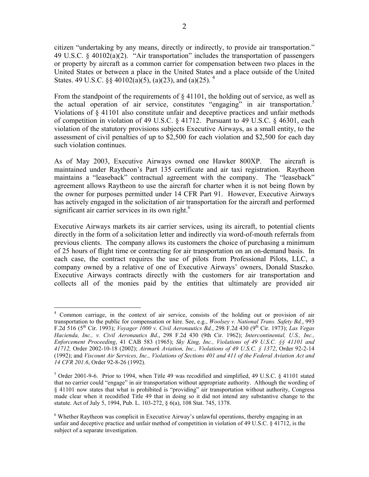citizen "undertaking by any means, directly or indirectly, to provide air transportation." 49 U.S.C. § 40102(a)(2). "Air transportation" includes the transportation of passengers or property by aircraft as a common carrier for compensation between two places in the United States or between a place in the United States and a place outside of the United States. 49 U.S.C.  $\frac{6}{5}$  40102(a)(5), (a)(23), and (a)(25). <sup>4</sup>

From the standpoint of the requirements of  $\S$  41101, the holding out of service, as well as the actual operation of air service, constitutes "engaging" in air transportation.<sup>5</sup> Violations of § 41101 also constitute unfair and deceptive practices and unfair methods of competition in violation of 49 U.S.C. § 41712. Pursuant to 49 U.S.C. § 46301, each violation of the statutory provisions subjects Executive Airways, as a small entity, to the assessment of civil penalties of up to \$2,500 for each violation and \$2,500 for each day such violation continues.

As of May 2003, Executive Airways owned one Hawker 800XP. The aircraft is maintained under Raytheon's Part 135 certificate and air taxi registration. Raytheon maintains a "leaseback" contractual agreement with the company. The "leaseback" agreement allows Raytheon to use the aircraft for charter when it is not being flown by the owner for purposes permitted under 14 CFR Part 91. However, Executive Airways has actively engaged in the solicitation of air transportation for the aircraft and performed significant air carrier services in its own right.<sup>6</sup>

Executive Airways markets its air carrier services, using its aircraft, to potential clients directly in the form of a solicitation letter and indirectly via word-of-mouth referrals from previous clients. The company allows its customers the choice of purchasing a minimum of 25 hours of flight time or contracting for air transportation on an on-demand basis. In each case, the contract requires the use of pilots from Professional Pilots, LLC, a company owned by a relative of one of Executive Airways' owners, Donald Staszko. Executive Airways contracts directly with the customers for air transportation and collects all of the monies paid by the entities that ultimately are provided air

 $\overline{a}$ <sup>4</sup> Common carriage, in the context of air service, consists of the holding out or provision of air transportation to the public for compensation or hire. See, e.g., *Woolsey v. National Trans. Safety Bd.*, 993 F.2d 516 (5th Cir. 1993); *Voyager 1000 v. Civil Aeronautics Bd.*, 298 F.2d 430 (9th Cir. 1973); *Las Vegas Hacienda, Inc., v. Civil Aeronautics Bd*., 298 F.2d 430 (9th Cir. 1962); *Intercontinental, U.S., Inc., Enforcement Proceeding*, 41 CAB 583 (1965); *Sky King, Inc., Violations of 49 U.S.C. §§ 41101 and 41712,* Order 2002-10-18 (2002); *Airmark Aviation, Inc., Violations of 49 U.S.C. § 1372*, Order 92-2-14 (1992); and *Viscount Air Services, Inc., Violations of Sections 401 and 411 of the Federal Aviation Act and 14 CFR 201.6*, Order 92-8-26 (1992).

 $5$  Order 2001-9-6. Prior to 1994, when Title 49 was recodified and simplified, 49 U.S.C. § 41101 stated that no carrier could "engage" in air transportation without appropriate authority. Although the wording of § 41101 now states that what is prohibited is "providing" air transportation without authority, Congress made clear when it recodified Title 49 that in doing so it did not intend any substantive change to the statute. Act of July 5, 1994, Pub. L. 103-272, § 6(a), 108 Stat. 745, 1378.

<sup>&</sup>lt;sup>6</sup> Whether Raytheon was complicit in Executive Airway's unlawful operations, thereby engaging in an unfair and deceptive practice and unfair method of competition in violation of 49 U.S.C. § 41712, is the subject of a separate investigation.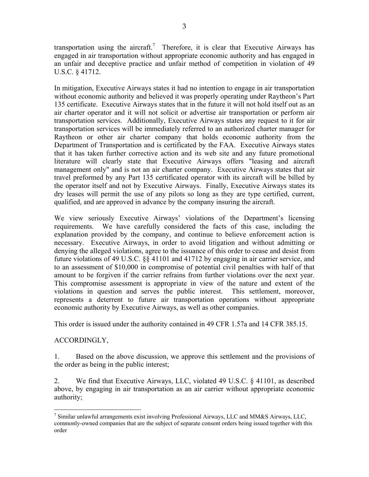transportation using the aircraft.<sup>7</sup> Therefore, it is clear that Executive Airways has engaged in air transportation without appropriate economic authority and has engaged in an unfair and deceptive practice and unfair method of competition in violation of 49 U.S.C. § 41712.

In mitigation, Executive Airways states it had no intention to engage in air transportation without economic authority and believed it was properly operating under Raytheon's Part 135 certificate. Executive Airways states that in the future it will not hold itself out as an air charter operator and it will not solicit or advertise air transportation or perform air transportation services. Additionally, Executive Airways states any request to it for air transportation services will be immediately referred to an authorized charter manager for Raytheon or other air charter company that holds economic authority from the Department of Transportation and is certificated by the FAA. Executive Airways states that it has taken further corrective action and its web site and any future promotional literature will clearly state that Executive Airways offers "leasing and aircraft management only" and is not an air charter company. Executive Airways states that air travel preformed by any Part 135 certificated operator with its aircraft will be billed by the operator itself and not by Executive Airways. Finally, Executive Airways states its dry leases will permit the use of any pilots so long as they are type certified, current, qualified, and are approved in advance by the company insuring the aircraft.

We view seriously Executive Airways' violations of the Department's licensing requirements. We have carefully considered the facts of this case, including the explanation provided by the company, and continue to believe enforcement action is necessary. Executive Airways, in order to avoid litigation and without admitting or denying the alleged violations, agree to the issuance of this order to cease and desist from future violations of 49 U.S.C. §§ 41101 and 41712 by engaging in air carrier service, and to an assessment of \$10,000 in compromise of potential civil penalties with half of that amount to be forgiven if the carrier refrains from further violations over the next year. This compromise assessment is appropriate in view of the nature and extent of the violations in question and serves the public interest. This settlement, moreover, represents a deterrent to future air transportation operations without appropriate economic authority by Executive Airways, as well as other companies.

This order is issued under the authority contained in 49 CFR 1.57a and 14 CFR 385.15.

## ACCORDINGLY,

 $\overline{a}$ 

1. Based on the above discussion, we approve this settlement and the provisions of the order as being in the public interest;

2. We find that Executive Airways, LLC, violated 49 U.S.C. § 41101, as described above, by engaging in air transportation as an air carrier without appropriate economic authority;

 $^7$  Similar unlawful arrangements exist involving Professional Airways, LLC and MM&S Airways, LLC, commonly-owned companies that are the subject of separate consent orders being issued together with this order